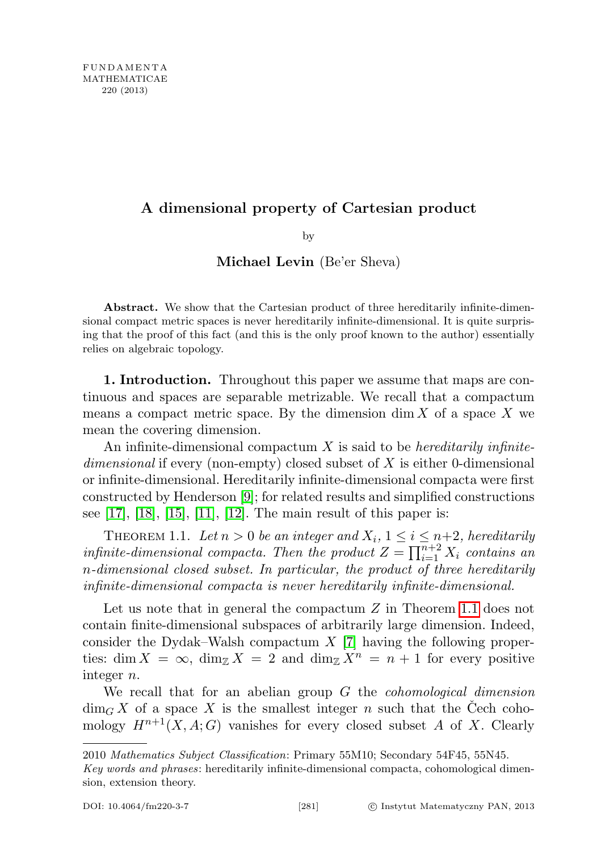## A dimensional property of Cartesian product

by

## Michael Levin (Be'er Sheva)

Abstract. We show that the Cartesian product of three hereditarily infinite-dimensional compact metric spaces is never hereditarily infinite-dimensional. It is quite surprising that the proof of this fact (and this is the only proof known to the author) essentially relies on algebraic topology.

1. Introduction. Throughout this paper we assume that maps are continuous and spaces are separable metrizable. We recall that a compactum means a compact metric space. By the dimension  $\dim X$  of a space X we mean the covering dimension.

An infinite-dimensional compactum  $X$  is said to be *hereditarily infinite*dimensional if every (non-empty) closed subset of X is either 0-dimensional or infinite-dimensional. Hereditarily infinite-dimensional compacta were first constructed by Henderson [\[9\]](#page-4-0); for related results and simplified constructions see  $[17]$ ,  $[18]$ ,  $[15]$ ,  $[11]$ ,  $[12]$ . The main result of this paper is:

<span id="page-0-0"></span>THEOREM 1.1. Let  $n > 0$  be an integer and  $X_i$ ,  $1 \leq i \leq n+2$ , hereditarily infinite-dimensional compacta. Then the product  $Z = \prod_{i=1}^{n+2} X_i$  contains an n-dimensional closed subset. In particular, the product of three hereditarily infinite-dimensional compacta is never hereditarily infinite-dimensional.

Let us note that in general the compactum  $Z$  in Theorem [1.1](#page-0-0) does not contain finite-dimensional subspaces of arbitrarily large dimension. Indeed, consider the Dydak–Walsh compactum  $X$  [\[7\]](#page-4-2) having the following properties: dim  $X = \infty$ , dim<sub> $\mathbb{Z} X = 2$ </sub> and dim  $\mathbb{Z} X^n = n + 1$  for every positive integer n.

We recall that for an abelian group  $G$  the *cohomological dimension*  $\dim_G X$  of a space X is the smallest integer n such that the Cech cohomology  $H^{n+1}(X, A; G)$  vanishes for every closed subset A of X. Clearly

<sup>2010</sup> Mathematics Subject Classification: Primary 55M10; Secondary 54F45, 55N45.

Key words and phrases: hereditarily infinite-dimensional compacta, cohomological dimension, extension theory.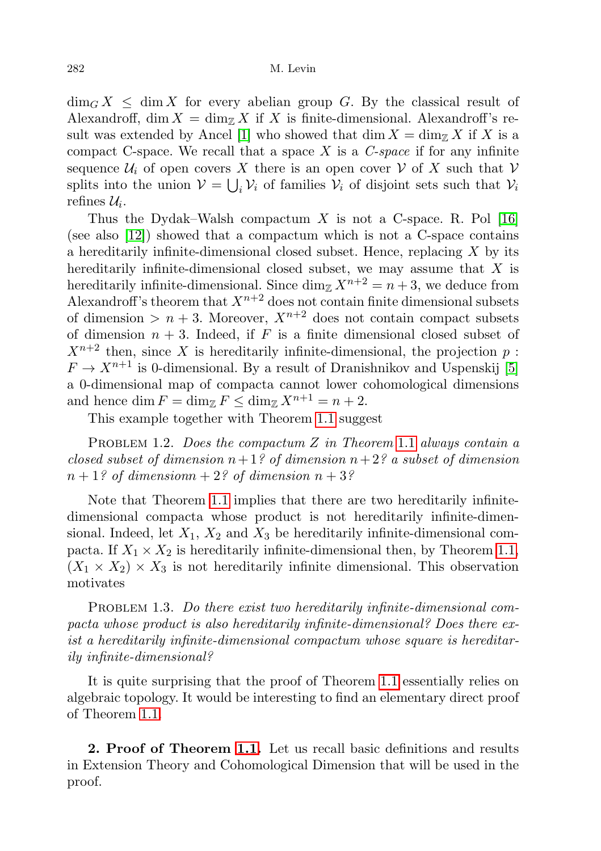$\dim_G X \leq \dim X$  for every abelian group G. By the classical result of Alexandroff, dim  $X = \dim_{\mathbb{Z}} X$  if X is finite-dimensional. Alexandroff's re-sult was extended by Ancel [\[1\]](#page-4-3) who showed that dim  $X = \dim_{\mathbb{Z}} X$  if X is a compact C-space. We recall that a space  $X$  is a C-space if for any infinite sequence  $\mathcal{U}_i$  of open covers X there is an open cover V of X such that V splits into the union  $V = \bigcup_i V_i$  of families  $V_i$  of disjoint sets such that  $V_i$ refines  $\mathcal{U}_i$ .

Thus the Dydak–Walsh compactum X is not a C-space. R. Pol [\[16\]](#page-5-4) (see also [\[12\]](#page-5-3)) showed that a compactum which is not a C-space contains a hereditarily infinite-dimensional closed subset. Hence, replacing  $X$  by its hereditarily infinite-dimensional closed subset, we may assume that X is hereditarily infinite-dimensional. Since  $\dim_{\mathbb{Z}} X^{n+2} = n+3$ , we deduce from Alexandroff's theorem that  $X^{n+2}$  does not contain finite dimensional subsets of dimension  $>n+3$ . Moreover,  $X^{n+2}$  does not contain compact subsets of dimension  $n + 3$ . Indeed, if F is a finite dimensional closed subset of  $X^{n+2}$  then, since X is hereditarily infinite-dimensional, the projection p:  $F \to X^{n+1}$  is 0-dimensional. By a result of Dranishnikov and Uspenskij [\[5\]](#page-4-4) a 0-dimensional map of compacta cannot lower cohomological dimensions and hence dim  $F = \dim_{\mathbb{Z}} F \leq \dim_{\mathbb{Z}} X^{n+1} = n+2$ .

This example together with Theorem [1.1](#page-0-0) suggest

PROBLEM [1](#page-0-0).2. Does the compactum Z in Theorem 1.1 always contain a closed subset of dimension  $n+1$ ? of dimension  $n+2$ ? a subset of dimension  $n+1$ ? of dimensionn + 2? of dimension  $n+3$ ?

Note that Theorem [1.1](#page-0-0) implies that there are two hereditarily infinitedimensional compacta whose product is not hereditarily infinite-dimensional. Indeed, let  $X_1, X_2$  and  $X_3$  be hereditarily infinite-dimensional compacta. If  $X_1 \times X_2$  is hereditarily infinite-dimensional then, by Theorem [1.1,](#page-0-0)  $(X_1 \times X_2) \times X_3$  is not hereditarily infinite dimensional. This observation motivates

PROBLEM 1.3. Do there exist two hereditarily infinite-dimensional compacta whose product is also hereditarily infinite-dimensional? Does there exist a hereditarily infinite-dimensional compactum whose square is hereditarily infinite-dimensional?

It is quite surprising that the proof of Theorem [1.1](#page-0-0) essentially relies on algebraic topology. It would be interesting to find an elementary direct proof of Theorem [1.1.](#page-0-0)

2. Proof of Theorem [1.1.](#page-0-0) Let us recall basic definitions and results in Extension Theory and Cohomological Dimension that will be used in the proof.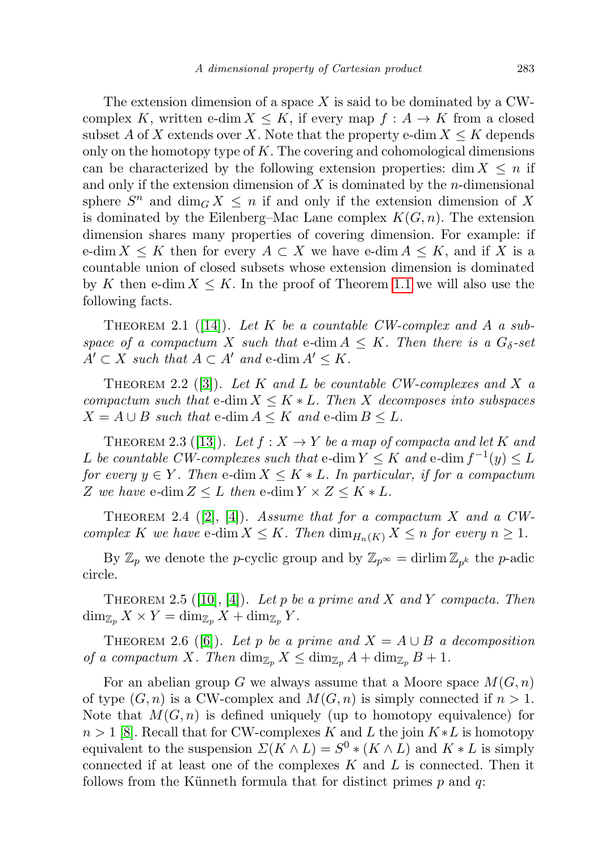The extension dimension of a space  $X$  is said to be dominated by a CWcomplex K, written e-dim  $X \leq K$ , if every map  $f : A \rightarrow K$  from a closed subset A of X extends over X. Note that the property e-dim  $X \leq K$  depends only on the homotopy type of  $K$ . The covering and cohomological dimensions can be characterized by the following extension properties: dim  $X \leq n$  if and only if the extension dimension of  $X$  is dominated by the *n*-dimensional sphere  $S<sup>n</sup>$  and  $\dim_G X \leq n$  if and only if the extension dimension of X is dominated by the Eilenberg–Mac Lane complex  $K(G, n)$ . The extension dimension shares many properties of covering dimension. For example: if e-dim  $X \leq K$  then for every  $A \subset X$  we have e-dim  $A \leq K$ , and if X is a countable union of closed subsets whose extension dimension is dominated by K then e-dim  $X \leq K$ . In the proof of Theorem [1.1](#page-0-0) we will also use the following facts.

<span id="page-2-1"></span>THEOREM 2.1 ([\[14\]](#page-5-5)). Let K be a countable CW-complex and A a subspace of a compactum X such that e-dim  $A \leq K$ . Then there is a  $G_{\delta}$ -set  $A' \subset X$  such that  $A \subset A'$  and e-dim  $A' \leq K$ .

<span id="page-2-0"></span>THEOREM 2.2 ([\[3\]](#page-4-5)). Let K and L be countable CW-complexes and X a compactum such that e-dim  $X \leq K * L$ . Then X decomposes into subspaces  $X = A \cup B$  such that e-dim  $A \leq K$  and e-dim  $B \leq L$ .

<span id="page-2-4"></span>THEOREM 2.3 ([\[13\]](#page-5-6)). Let  $f: X \to Y$  be a map of compacta and let K and L be countable CW-complexes such that e-dim  $Y \leq K$  and e-dim  $f^{-1}(y) \leq L$ for every  $y \in Y$ . Then e-dim  $X \leq K * L$ . In particular, if for a compactum Z we have e-dim  $Z \leq L$  then e-dim  $Y \times Z \leq K * L$ .

<span id="page-2-2"></span>THEOREM 2.4 ([\[2\]](#page-4-6), [\[4\]](#page-4-7)). Assume that for a compactum X and a CWcomplex K we have e-dim  $X \leq K$ . Then  $\dim_{H_n(K)} X \leq n$  for every  $n \geq 1$ .

By  $\mathbb{Z}_p$  we denote the *p*-cyclic group and by  $\mathbb{Z}_{p^{\infty}} = \text{drlim} \mathbb{Z}_{p^k}$  the *p*-adic circle.

<span id="page-2-3"></span>THEOREM 2.5 ([\[10\]](#page-4-8), [\[4\]](#page-4-7)). Let p be a prime and X and Y compacta. Then  $\dim_{\mathbb{Z}_p} X \times Y = \dim_{\mathbb{Z}_p} X + \dim_{\mathbb{Z}_p} Y$ .

<span id="page-2-5"></span>THEOREM 2.6 ([\[6\]](#page-4-9)). Let p be a prime and  $X = A \cup B$  a decomposition of a compactum X. Then  $\dim_{\mathbb{Z}_p} X \leq \dim_{\mathbb{Z}_p} A + \dim_{\mathbb{Z}_p} B + 1$ .

For an abelian group G we always assume that a Moore space  $M(G, n)$ of type  $(G, n)$  is a CW-complex and  $M(G, n)$  is simply connected if  $n > 1$ . Note that  $M(G, n)$  is defined uniquely (up to homotopy equivalence) for  $n > 1$  [\[8\]](#page-4-10). Recall that for CW-complexes K and L the join  $K * L$  is homotopy equivalent to the suspension  $\mathcal{L}(K \wedge L) = S^0 * (K \wedge L)$  and  $K * L$  is simply connected if at least one of the complexes  $K$  and  $L$  is connected. Then it follows from the Künneth formula that for distinct primes  $p$  and  $q$ :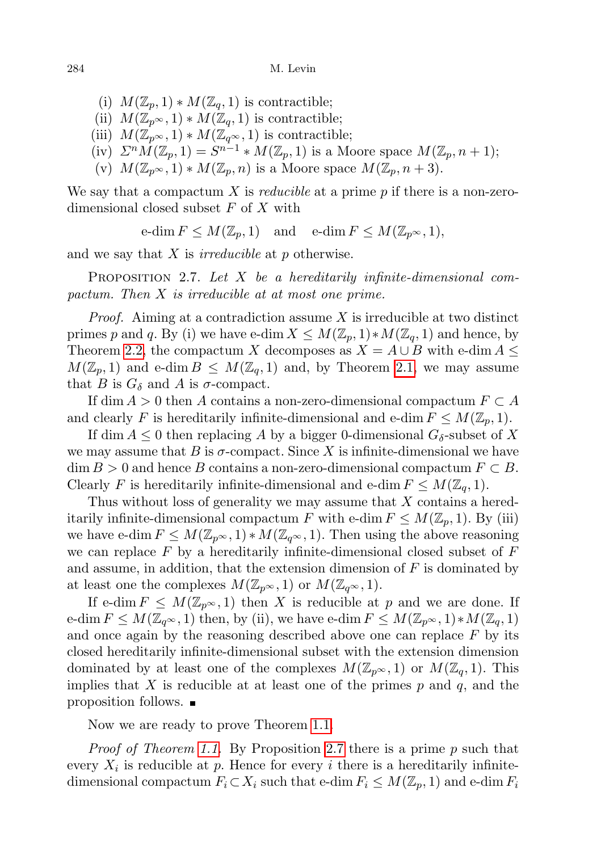- (i)  $M(\mathbb{Z}_n, 1) * M(\mathbb{Z}_q, 1)$  is contractible;
- (ii)  $M(\mathbb{Z}_{p^{\infty}},1) * M(\mathbb{Z}_{q},1)$  is contractible;
- (iii)  $M(\mathbb{Z}_{p^{\infty}}, 1) * M(\mathbb{Z}_{q^{\infty}}, 1)$  is contractible;
- (iv)  $\sum^n M(\mathbb{Z}_p, 1) = S^{n-1} * M(\mathbb{Z}_p, 1)$  is a Moore space  $M(\mathbb{Z}_p, n+1)$ ;
- (v)  $M(\mathbb{Z}_{p^{\infty}},1) * M(\mathbb{Z}_{p},n)$  is a Moore space  $M(\mathbb{Z}_{p},n+3)$ .

We say that a compactum X is *reducible* at a prime  $p$  if there is a non-zerodimensional closed subset  $F$  of  $X$  with

 $\operatorname{e-dim} F \leq M(\mathbb{Z}_p, 1)$  and  $\operatorname{e-dim} F \leq M(\mathbb{Z}_{p^\infty}, 1),$ 

and we say that  $X$  is *irreducible* at  $p$  otherwise.

<span id="page-3-0"></span>PROPOSITION 2.7. Let  $X$  be a hereditarily infinite-dimensional compactum. Then X is irreducible at at most one prime.

*Proof.* Aiming at a contradiction assume  $X$  is irreducible at two distinct primes p and q. By (i) we have e-dim  $X \leq M(\mathbb{Z}_p,1) * M(\mathbb{Z}_q,1)$  and hence, by Theorem [2.2,](#page-2-0) the compactum X decomposes as  $X = A \cup B$  with e-dim  $A \leq$  $M(\mathbb{Z}_p, 1)$  and e-dim  $B \leq M(\mathbb{Z}_q, 1)$  and, by Theorem [2.1,](#page-2-1) we may assume that B is  $G_{\delta}$  and A is  $\sigma$ -compact.

If dim  $A > 0$  then A contains a non-zero-dimensional compactum  $F \subset A$ and clearly F is hereditarily infinite-dimensional and e-dim  $F \leq M(\mathbb{Z}_p, 1)$ .

If dim  $A \leq 0$  then replacing A by a bigger 0-dimensional  $G_{\delta}$ -subset of X we may assume that B is  $\sigma$ -compact. Since X is infinite-dimensional we have  $\dim B > 0$  and hence B contains a non-zero-dimensional compactum  $F \subset B$ . Clearly F is hereditarily infinite-dimensional and e-dim  $F \leq M(\mathbb{Z}_q, 1)$ .

Thus without loss of generality we may assume that X contains a hereditarily infinite-dimensional compactum F with e-dim  $F \leq M(\mathbb{Z}_p, 1)$ . By (iii) we have e-dim  $F \leq M(\mathbb{Z}_{p^{\infty}}, 1) * M(\mathbb{Z}_{q^{\infty}}, 1)$ . Then using the above reasoning we can replace  $F$  by a hereditarily infinite-dimensional closed subset of  $F$ and assume, in addition, that the extension dimension of  $F$  is dominated by at least one the complexes  $M(\mathbb{Z}_{p^{\infty}}, 1)$  or  $M(\mathbb{Z}_{q^{\infty}}, 1)$ .

If e-dim  $F \leq M(\mathbb{Z}_{p^{\infty}}, 1)$  then X is reducible at p and we are done. If e-dim  $F \leq M(\mathbb{Z}_{q^{\infty}}, 1)$  then, by (ii), we have e-dim  $F \leq M(\mathbb{Z}_{p^{\infty}}, 1) * M(\mathbb{Z}_{q}, 1)$ and once again by the reasoning described above one can replace  $F$  by its closed hereditarily infinite-dimensional subset with the extension dimension dominated by at least one of the complexes  $M(\mathbb{Z}_{p^{\infty}},1)$  or  $M(\mathbb{Z}_{q},1)$ . This implies that X is reducible at at least one of the primes  $p$  and  $q$ , and the proposition follows.

Now we are ready to prove Theorem [1.1.](#page-0-0)

*Proof of Theorem [1.1.](#page-0-0)* By Proposition [2.7](#page-3-0) there is a prime  $p$  such that every  $X_i$  is reducible at p. Hence for every i there is a hereditarily infinitedimensional compactum  $F_i \subset X_i$  such that e-dim  $F_i \leq M(\mathbb{Z}_p, 1)$  and e-dim  $F_i$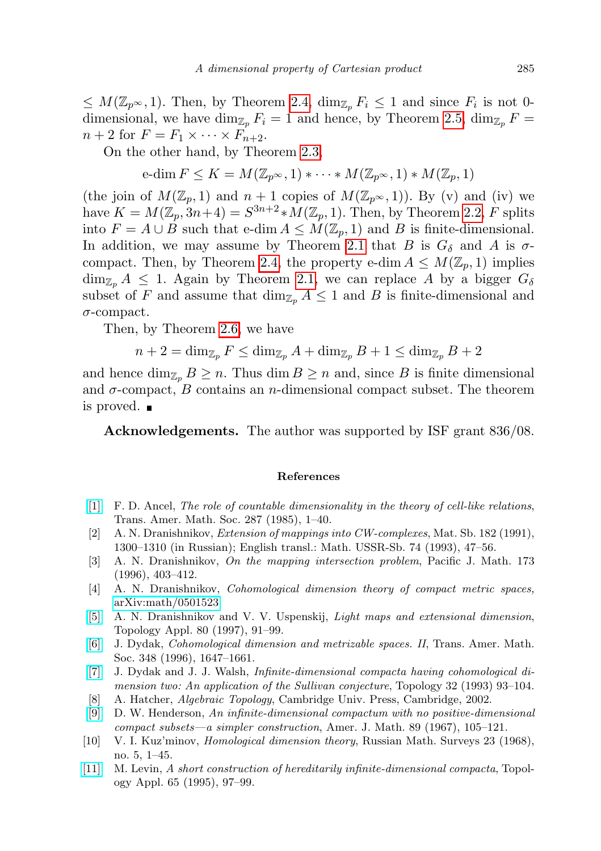$\leq M(\mathbb{Z}_{p^{\infty}}, 1)$ . Then, by Theorem [2.4,](#page-2-2)  $\dim_{\mathbb{Z}_p} F_i \leq 1$  and since  $F_i$  is not 0dimensional, we have dim<sub>Z<sub>p</sub></sub>  $F_i = 1$  and hence, by Theorem [2.5,](#page-2-3) dim<sub>Z<sub>p</sub></sub>  $F =$  $n+2$  for  $F = F_1 \times \cdots \times F_{n+2}$ .

On the other hand, by Theorem [2.3,](#page-2-4)

$$
\operatorname{e-dim} F \leq K = M(\mathbb{Z}_{p^{\infty}}, 1) * \cdots * M(\mathbb{Z}_{p^{\infty}}, 1) * M(\mathbb{Z}_p, 1)
$$

(the join of  $M(\mathbb{Z}_p, 1)$  and  $n + 1$  copies of  $M(\mathbb{Z}_{p^{\infty}}, 1)$ ). By (v) and (iv) we have  $K = M(\mathbb{Z}_p, 3n+4) = S^{3n+2} * M(\mathbb{Z}_p, 1)$ . Then, by Theorem [2.2,](#page-2-0) F splits into  $F = A \cup B$  such that e-dim  $A \leq M(\mathbb{Z}_p, 1)$  and B is finite-dimensional. In addition, we may assume by Theorem [2.1](#page-2-1) that B is  $G_{\delta}$  and A is  $\sigma$ -compact. Then, by Theorem [2.4,](#page-2-2) the property e-dim  $A \leq M(\mathbb{Z}_p, 1)$  implies  $\dim_{\mathbb{Z}_p} A \leq 1$ . Again by Theorem [2.1,](#page-2-1) we can replace A by a bigger  $G_\delta$ subset of F and assume that  $\dim_{\mathbb{Z}_p} A \leq 1$  and B is finite-dimensional and  $\sigma$ -compact.

Then, by Theorem [2.6,](#page-2-5) we have

$$
n+2 = \dim_{\mathbb{Z}_p} F \le \dim_{\mathbb{Z}_p} A + \dim_{\mathbb{Z}_p} B + 1 \le \dim_{\mathbb{Z}_p} B + 2
$$

and hence  $\dim_{\mathbb{Z}_p} B \geq n$ . Thus  $\dim B \geq n$  and, since B is finite dimensional and  $\sigma$ -compact, B contains an *n*-dimensional compact subset. The theorem is proved.

Acknowledgements. The author was supported by ISF grant 836/08.

## References

- <span id="page-4-3"></span>[\[1\]](http://dx.doi.org/10.1090/S0002-9947-1985-0766204-X) F. D. Ancel, The role of countable dimensionality in the theory of cell-like relations, Trans. Amer. Math. Soc. 287 (1985), 1–40.
- <span id="page-4-6"></span>[2] A. N. Dranishnikov, Extension of mappings into CW-complexes, Mat. Sb. 182 (1991), 1300–1310 (in Russian); English transl.: Math. USSR-Sb. 74 (1993), 47–56.
- <span id="page-4-5"></span>[3] A. N. Dranishnikov, On the mapping intersection problem, Pacific J. Math. 173 (1996), 403–412.
- <span id="page-4-7"></span>[4] A. N. Dranishnikov, Cohomological dimension theory of compact metric spaces, [arXiv:math/0501523.](http://arxiv.org/abs/math/0501523)
- <span id="page-4-4"></span>[\[5\]](http://dx.doi.org/10.1016/S0166-8641(96)00164-2) A. N. Dranishnikov and V. V. Uspenskij, Light maps and extensional dimension, Topology Appl. 80 (1997), 91–99.
- <span id="page-4-9"></span>[\[6\]](http://dx.doi.org/10.1090/S0002-9947-96-01536-X) J. Dydak, Cohomological dimension and metrizable spaces. II, Trans. Amer. Math. Soc. 348 (1996), 1647–1661.
- <span id="page-4-2"></span>[\[7\]](http://dx.doi.org/10.1016/0040-9383(93)90040-3) J. Dydak and J. J. Walsh, Infinite-dimensional compacta having cohomological dimension two: An application of the Sullivan conjecture, Topology 32 (1993) 93-104.
- <span id="page-4-10"></span>[8] A. Hatcher, Algebraic Topology, Cambridge Univ. Press, Cambridge, 2002.
- <span id="page-4-0"></span>[\[9\]](http://dx.doi.org/10.2307/2373100) D. W. Henderson, An infinite-dimensional compactum with no positive-dimensional compact subsets—a simpler construction, Amer. J. Math. 89 (1967), 105–121.
- <span id="page-4-8"></span>[10] V. I. Kuz'minov, Homological dimension theory, Russian Math. Surveys 23 (1968), no. 5, 1–45.
- <span id="page-4-1"></span>[\[11\]](http://dx.doi.org/10.1016/0166-8641(95)00099-3) M. Levin, A short construction of hereditarily infinite-dimensional compacta, Topology Appl. 65 (1995), 97–99.